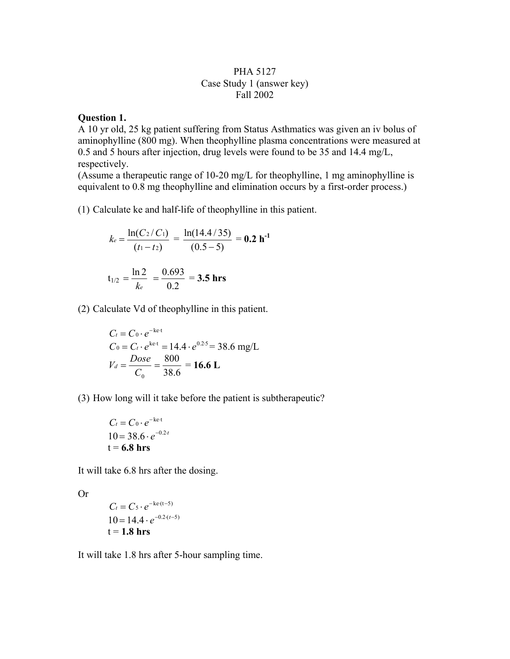## PHA 5127 Case Study 1 (answer key) Fall 2002

## **Question 1.**

A 10 yr old, 25 kg patient suffering from Status Asthmatics was given an iv bolus of aminophylline (800 mg). When theophylline plasma concentrations were measured at 0.5 and 5 hours after injection, drug levels were found to be 35 and 14.4 mg/L, respectively.

(Assume a therapeutic range of 10-20 mg/L for theophylline, 1 mg aminophylline is equivalent to 0.8 mg theophylline and elimination occurs by a first-order process.)

(1) Calculate ke and half-life of theophylline in this patient.

$$
k_e = \frac{\ln(C_2/C_1)}{(t_1 - t_2)} = \frac{\ln(14.4/35)}{(0.5 - 5)} = 0.2 \text{ h}^{-1}
$$
  

$$
t_{1/2} = \frac{\ln 2}{k_e} = \frac{0.693}{0.2} = 3.5 \text{ hrs}
$$

(2) Calculate Vd of theophylline in this patient.

$$
C_t = C_0 \cdot e^{-ke \cdot t}
$$
  
\n
$$
C_0 = C_t \cdot e^{ke \cdot t} = 14.4 \cdot e^{0.25} = 38.6 \text{ mg/L}
$$
  
\n
$$
V_d = \frac{Dose}{C_0} = \frac{800}{38.6} = 16.6 \text{ L}
$$

(3) How long will it take before the patient is subtherapeutic?

$$
C_t = C_0 \cdot e^{-ke \cdot t}
$$
  
10 = 38.6 ·  $e^{-0.2 \cdot t}$   
t = **6.8 hrs**

It will take 6.8 hrs after the dosing.

Or

$$
C_t = C_5 \cdot e^{-ke \cdot (t-5)}
$$
  
10 = 14.4 \cdot e^{-0.2 \cdot (t-5)}  
t = 1.8 hrs

It will take 1.8 hrs after 5-hour sampling time.